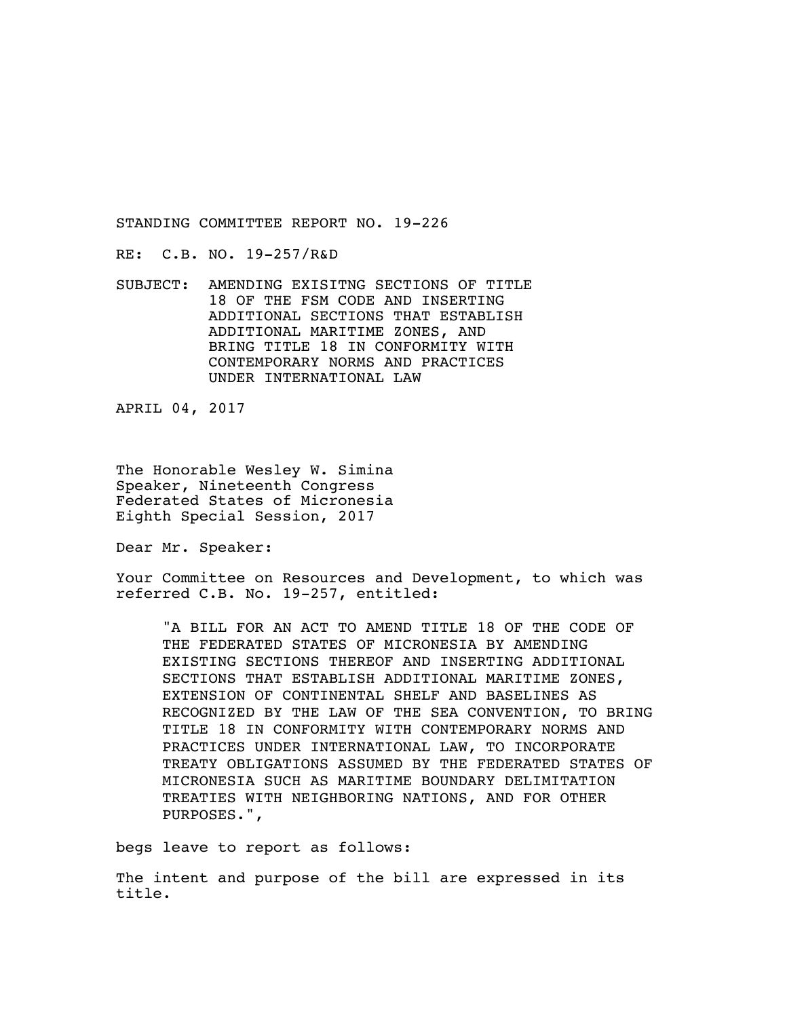RE: C.B. NO. 19-257/R&D

SUBJECT: AMENDING EXISITNG SECTIONS OF TITLE 18 OF THE FSM CODE AND INSERTING ADDITIONAL SECTIONS THAT ESTABLISH ADDITIONAL MARITIME ZONES, AND BRING TITLE 18 IN CONFORMITY WITH CONTEMPORARY NORMS AND PRACTICES UNDER INTERNATIONAL LAW

APRIL 04, 2017

The Honorable Wesley W. Simina Speaker, Nineteenth Congress Federated States of Micronesia Eighth Special Session, 2017

Dear Mr. Speaker:

Your Committee on Resources and Development, to which was referred C.B. No. 19-257, entitled:

"A BILL FOR AN ACT TO AMEND TITLE 18 OF THE CODE OF THE FEDERATED STATES OF MICRONESIA BY AMENDING EXISTING SECTIONS THEREOF AND INSERTING ADDITIONAL SECTIONS THAT ESTABLISH ADDITIONAL MARITIME ZONES, EXTENSION OF CONTINENTAL SHELF AND BASELINES AS RECOGNIZED BY THE LAW OF THE SEA CONVENTION, TO BRING TITLE 18 IN CONFORMITY WITH CONTEMPORARY NORMS AND PRACTICES UNDER INTERNATIONAL LAW, TO INCORPORATE TREATY OBLIGATIONS ASSUMED BY THE FEDERATED STATES OF MICRONESIA SUCH AS MARITIME BOUNDARY DELIMITATION TREATIES WITH NEIGHBORING NATIONS, AND FOR OTHER PURPOSES.",

begs leave to report as follows:

The intent and purpose of the bill are expressed in its title.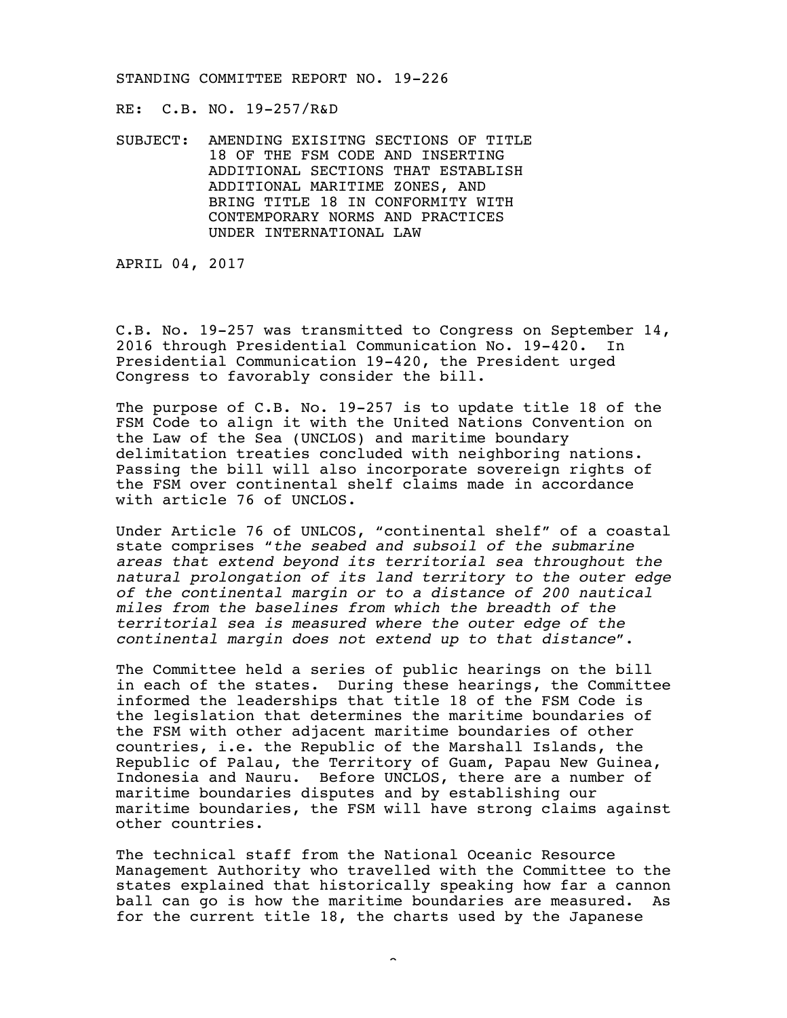RE: C.B. NO. 19-257/R&D

SUBJECT: AMENDING EXISITNG SECTIONS OF TITLE 18 OF THE FSM CODE AND INSERTING ADDITIONAL SECTIONS THAT ESTABLISH ADDITIONAL MARITIME ZONES, AND BRING TITLE 18 IN CONFORMITY WITH CONTEMPORARY NORMS AND PRACTICES UNDER INTERNATIONAL LAW

APRIL 04, 2017

C.B. No. 19-257 was transmitted to Congress on September 14, 2016 through Presidential Communication No. 19-420. In Presidential Communication 19-420, the President urged Congress to favorably consider the bill.

The purpose of C.B. No. 19-257 is to update title 18 of the FSM Code to align it with the United Nations Convention on the Law of the Sea (UNCLOS) and maritime boundary delimitation treaties concluded with neighboring nations. Passing the bill will also incorporate sovereign rights of the FSM over continental shelf claims made in accordance with article 76 of UNCLOS.

Under Article 76 of UNLCOS, "continental shelf" of a coastal state comprises "*the seabed and subsoil of the submarine areas that extend beyond its territorial sea throughout the natural prolongation of its land territory to the outer edge of the continental margin or to a distance of 200 nautical miles from the baselines from which the breadth of the territorial sea is measured where the outer edge of the continental margin does not extend up to that distance*".

The Committee held a series of public hearings on the bill in each of the states. During these hearings, the Committee informed the leaderships that title 18 of the FSM Code is the legislation that determines the maritime boundaries of the FSM with other adjacent maritime boundaries of other countries, i.e. the Republic of the Marshall Islands, the Republic of Palau, the Territory of Guam, Papau New Guinea, Indonesia and Nauru. Before UNCLOS, there are a number of maritime boundaries disputes and by establishing our maritime boundaries, the FSM will have strong claims against other countries.

The technical staff from the National Oceanic Resource Management Authority who travelled with the Committee to the states explained that historically speaking how far a cannon ball can go is how the maritime boundaries are measured. As for the current title 18, the charts used by the Japanese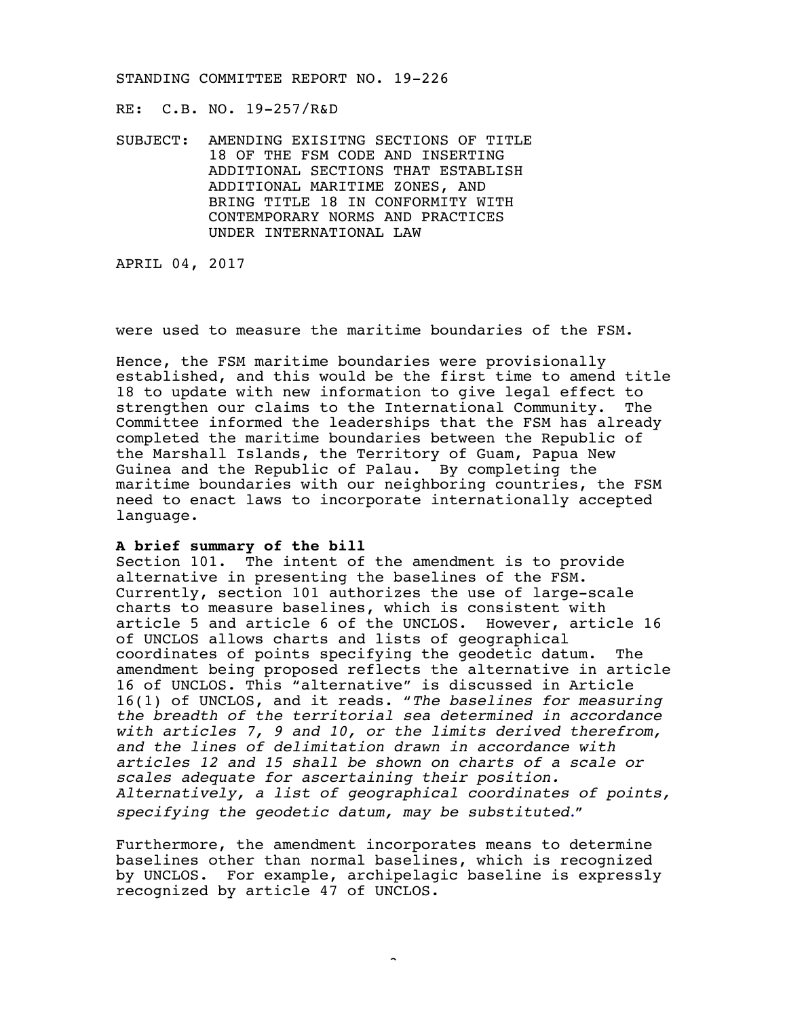RE: C.B. NO. 19-257/R&D

SUBJECT: AMENDING EXISITNG SECTIONS OF TITLE 18 OF THE FSM CODE AND INSERTING ADDITIONAL SECTIONS THAT ESTABLISH ADDITIONAL MARITIME ZONES, AND BRING TITLE 18 IN CONFORMITY WITH CONTEMPORARY NORMS AND PRACTICES UNDER INTERNATIONAL LAW

APRIL 04, 2017

were used to measure the maritime boundaries of the FSM.

Hence, the FSM maritime boundaries were provisionally established, and this would be the first time to amend title 18 to update with new information to give legal effect to strengthen our claims to the International Community. The Committee informed the leaderships that the FSM has already completed the maritime boundaries between the Republic of the Marshall Islands, the Territory of Guam, Papua New Guinea and the Republic of Palau. By completing the maritime boundaries with our neighboring countries, the FSM need to enact laws to incorporate internationally accepted language.

### **A brief summary of the bill**

Section 101. The intent of the amendment is to provide alternative in presenting the baselines of the FSM. Currently, section 101 authorizes the use of large-scale charts to measure baselines, which is consistent with article 5 and article 6 of the UNCLOS. However, article 16 of UNCLOS allows charts and lists of geographical coordinates of points specifying the geodetic datum. The amendment being proposed reflects the alternative in article 16 of UNCLOS. This "alternative" is discussed in Article 16(1) of UNCLOS, and it reads. "*The baselines for measuring the breadth of the territorial sea determined in accordance with articles 7, 9 and 10, or the limits derived therefrom, and the lines of delimitation drawn in accordance with articles 12 and 15 shall be shown on charts of a scale or scales adequate for ascertaining their position. Alternatively, a list of geographical coordinates of points, specifying the geodetic datum, may be substituted*."

Furthermore, the amendment incorporates means to determine baselines other than normal baselines, which is recognized by UNCLOS. For example, archipelagic baseline is expressly recognized by article 47 of UNCLOS.

-3-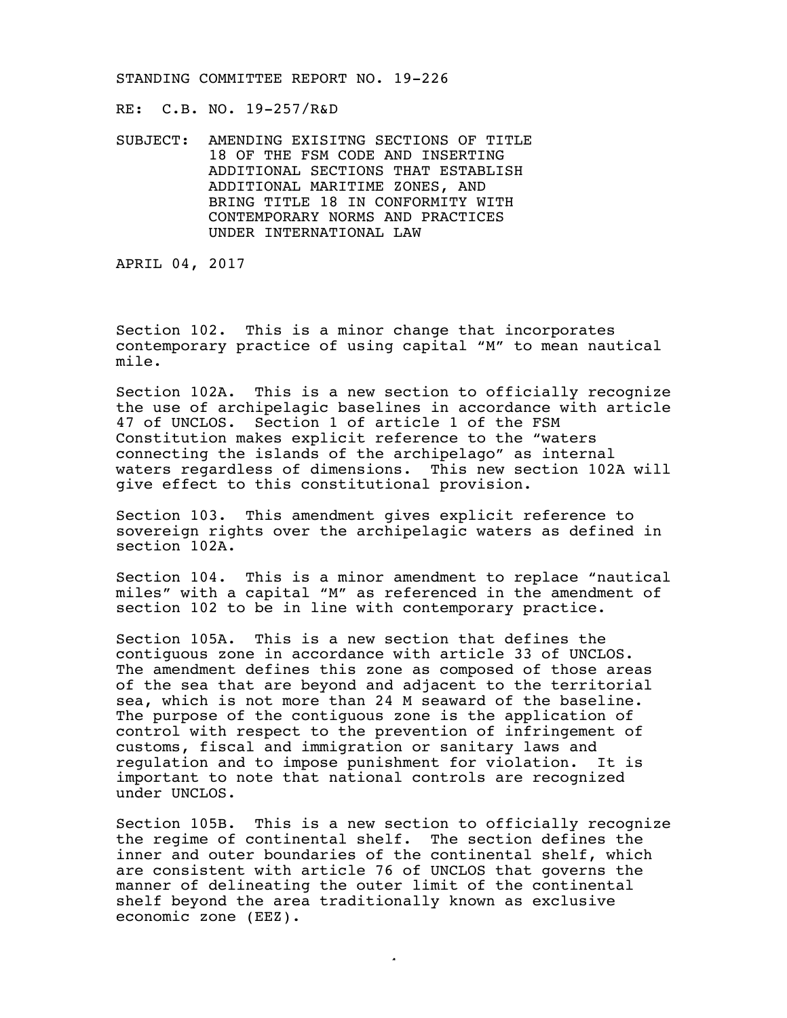RE: C.B. NO. 19-257/R&D

SUBJECT: AMENDING EXISITNG SECTIONS OF TITLE 18 OF THE FSM CODE AND INSERTING ADDITIONAL SECTIONS THAT ESTABLISH ADDITIONAL MARITIME ZONES, AND BRING TITLE 18 IN CONFORMITY WITH CONTEMPORARY NORMS AND PRACTICES UNDER INTERNATIONAL LAW

APRIL 04, 2017

Section 102. This is a minor change that incorporates contemporary practice of using capital "M" to mean nautical mile.

Section 102A. This is a new section to officially recognize the use of archipelagic baselines in accordance with article 47 of UNCLOS. Section 1 of article 1 of the FSM Constitution makes explicit reference to the "waters connecting the islands of the archipelago" as internal waters regardless of dimensions. This new section 102A will give effect to this constitutional provision.

Section 103. This amendment gives explicit reference to sovereign rights over the archipelagic waters as defined in section 102A.

Section 104. This is a minor amendment to replace "nautical miles" with a capital "M" as referenced in the amendment of section 102 to be in line with contemporary practice.

Section 105A. This is a new section that defines the contiguous zone in accordance with article 33 of UNCLOS. The amendment defines this zone as composed of those areas of the sea that are beyond and adjacent to the territorial sea, which is not more than 24 M seaward of the baseline. The purpose of the contiguous zone is the application of control with respect to the prevention of infringement of customs, fiscal and immigration or sanitary laws and regulation and to impose punishment for violation. It is important to note that national controls are recognized under UNCLOS.

Section 105B. This is a new section to officially recognize the regime of continental shelf. The section defines the inner and outer boundaries of the continental shelf, which are consistent with article 76 of UNCLOS that governs the manner of delineating the outer limit of the continental shelf beyond the area traditionally known as exclusive economic zone (EEZ).

 $\sim$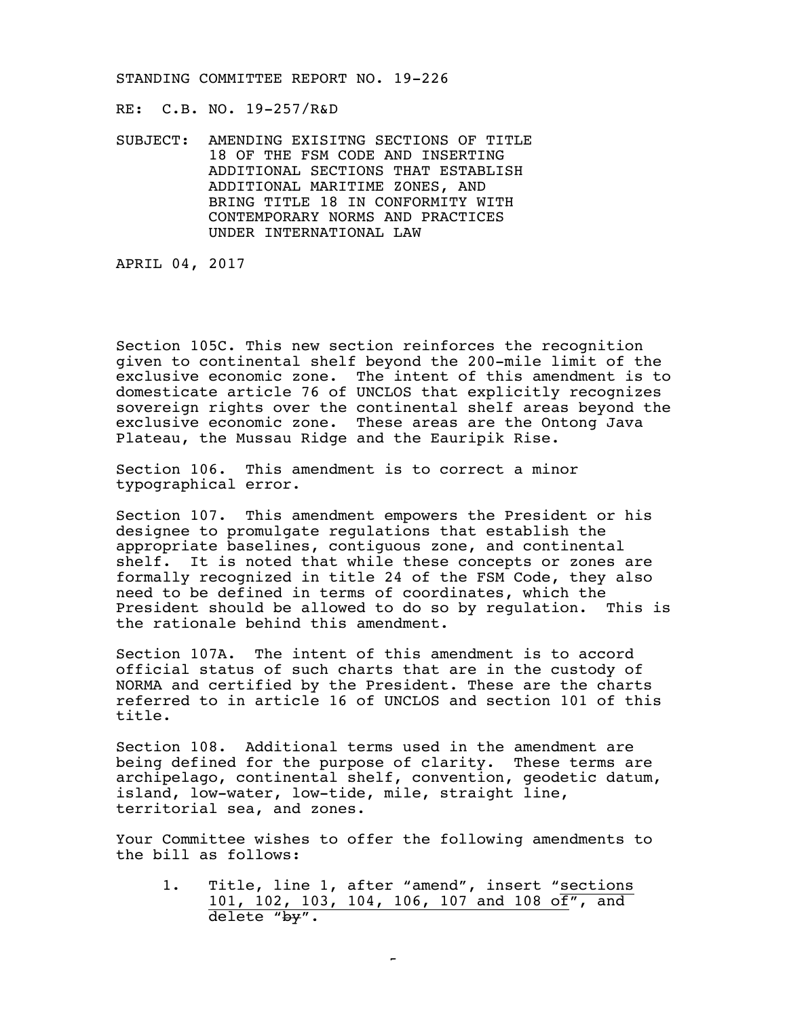RE: C.B. NO. 19-257/R&D

SUBJECT: AMENDING EXISITNG SECTIONS OF TITLE 18 OF THE FSM CODE AND INSERTING ADDITIONAL SECTIONS THAT ESTABLISH ADDITIONAL MARITIME ZONES, AND BRING TITLE 18 IN CONFORMITY WITH CONTEMPORARY NORMS AND PRACTICES UNDER INTERNATIONAL LAW

APRIL 04, 2017

Section 105C. This new section reinforces the recognition given to continental shelf beyond the 200-mile limit of the exclusive economic zone. The intent of this amendment is to domesticate article 76 of UNCLOS that explicitly recognizes sovereign rights over the continental shelf areas beyond the exclusive economic zone. These areas are the Ontong Java Plateau, the Mussau Ridge and the Eauripik Rise.

Section 106. This amendment is to correct a minor typographical error.

Section 107. This amendment empowers the President or his designee to promulgate regulations that establish the appropriate baselines, contiguous zone, and continental shelf. It is noted that while these concepts or zones are formally recognized in title 24 of the FSM Code, they also need to be defined in terms of coordinates, which the President should be allowed to do so by regulation. This is the rationale behind this amendment.

Section 107A. The intent of this amendment is to accord official status of such charts that are in the custody of NORMA and certified by the President. These are the charts referred to in article 16 of UNCLOS and section 101 of this title.

Section 108. Additional terms used in the amendment are being defined for the purpose of clarity. These terms are archipelago, continental shelf, convention, geodetic datum, island, low-water, low-tide, mile, straight line, territorial sea, and zones.

Your Committee wishes to offer the following amendments to the bill as follows:

1. Title, line 1, after "amend", insert "sections 101, 102, 103, 104, 106, 107 and 108 of", and delete "by".

-5-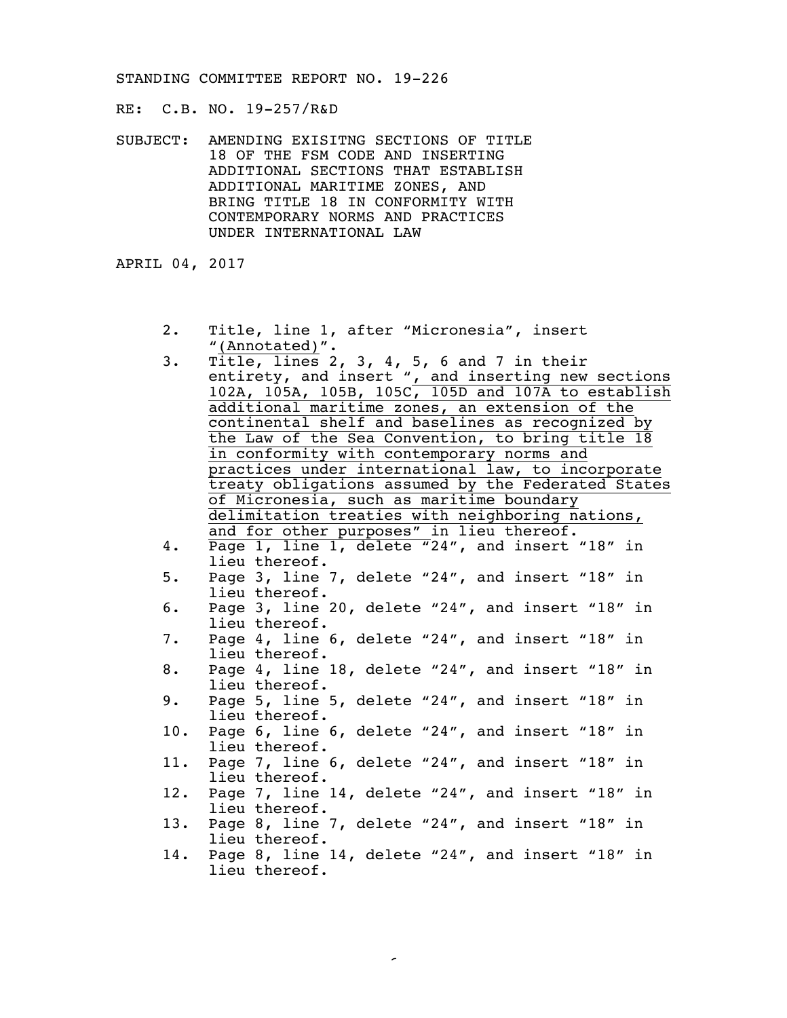RE: C.B. NO. 19-257/R&D

SUBJECT: AMENDING EXISITNG SECTIONS OF TITLE 18 OF THE FSM CODE AND INSERTING ADDITIONAL SECTIONS THAT ESTABLISH ADDITIONAL MARITIME ZONES, AND BRING TITLE 18 IN CONFORMITY WITH CONTEMPORARY NORMS AND PRACTICES UNDER INTERNATIONAL LAW

APRIL 04, 2017

- 2. Title, line 1, after "Micronesia", insert "(Annotated)".
- 3. Title, lines  $2$ ,  $3$ ,  $4$ ,  $5$ ,  $6$  and  $7$  in their entirety, and insert ", and inserting new sections 102A, 105A, 105B, 105C, 105D and 107A to establish additional maritime zones, an extension of the continental shelf and baselines as recognized by the Law of the Sea Convention, to bring title 18 in conformity with contemporary norms and practices under international law, to incorporate treaty obligations assumed by the Federated States of Micronesia, such as maritime boundary delimitation treaties with neighboring nations, and for other purposes" in lieu thereof. 4. Page 1, line 1, delete "24", and insert "18" in lieu thereof. 5. Page 3, line 7, delete "24", and insert "18" in lieu thereof. 6. Page 3, line 20, delete "24", and insert "18" in lieu thereof. 7. Page 4, line 6, delete "24", and insert "18" in lieu thereof. 8. Page 4, line 18, delete "24", and insert "18" in lieu thereof. 9. Page 5, line 5, delete "24", and insert "18" in lieu thereof. 10. Page 6, line 6, delete "24", and insert "18" in lieu thereof. 11. Page 7, line 6, delete "24", and insert "18" in lieu thereof. 12. Page 7, line 14, delete "24", and insert "18" in lieu thereof. 13. Page 8, line 7, delete "24", and insert "18" in lieu thereof. 14. Page 8, line 14, delete "24", and insert "18" in lieu thereof.

-6-